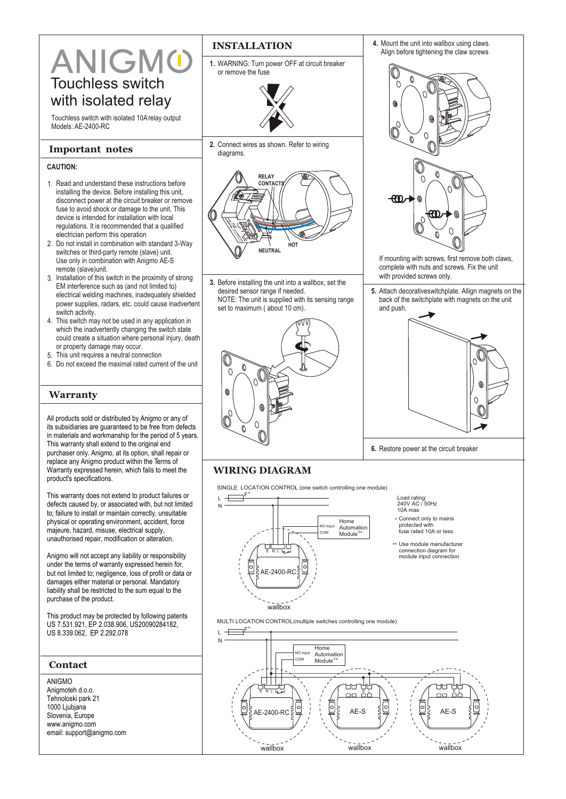# ANIGMO Touchless switch with isolated relay

Touchless switch with isolated 10A relay output Models: AE-2400-RC

#### **Important notes**

#### **CAUTION:**

- 1. Read and understand these instructions before installing the device. Before installing this unit, disconnect power at the circuit breaker or remove fuse to avoid shock or damage to the unit. This device is intended for installation with local regulations. It is recommended that a qualified electrician perform this operation
- 2. Do not install in combination with standard 3-Way switches or third-party remote (slave) unit. Use only in combination with Anigmo AE-S remote (slave)unit.
- 3. Installation of this switch in the proximity of strong EM interference such as (and not limited to) electrical welding machines, inadequately shielded power supplies, radars, etc. could cause inadvertent switch activity.
- 4. This switch may not be used in any application in which the inadvertently changing the switch state could create a situation where personal injury, death or property damage may occur.
- 5. This unit requires a neutral connection
- 6. Do not exceed the maximal rated current of the unit

#### **Warranty**

All products sold or distributed by Anigmo or any of its subsidiaries are guaranteed to be free from defects in materials and workmanship for the period of 5 years. This warranty shall extend to the original end purchaser only. Anigmo, at its option, shall repair or replace any Anigmo product within the Terms of Warranty expressed herein, which fails to meet the product's specifications.

This warranty does not extend to product failures or defects caused by, or associated with, but not limited to; failure to install or maintain correctly, unsuitable physical or operating environment, accident, force majeure, hazard, misuse, electrical supply, unauthorised repair, modification or alteration.

Anigmo will not accept any liability or responsibility under the terms of warranty expressed herein for, but not limited to; negligence, loss of profit or data or damages either material or personal. Mandatory liability shall be restricted to the sum equal to the purchase of the product.

This product may be protected by following patents US 7.531.921, EP 2.038.906, US20090284182, US 8.339.062, EP 2.292.078

| <b>Contact</b>                                                                                                                       |
|--------------------------------------------------------------------------------------------------------------------------------------|
| ANIGMO<br>Anigmoteh d.o.o.<br>Tehnoloski park 21<br>1000 Ljubjana<br>Slovenia, Europe<br>www.anigmo.com<br>email: support@anigmo.com |
|                                                                                                                                      |

### **INSTALLATION**

**1.** WARNING: Turn power OFF at circuit breaker or remove the fuse



**2.** Connect wires as shown. Refer to wiring diagrams.



**3.** Before installing the unit into a wallbox, set the desired sensor range if needed. NOTE: The unit is supplied with its sensing range set to maximum ( about 10 cm).





- If mounting with screws, first remove both claws, complete with nuts and screws. Fix the unit with provided screws only.
- **5.** Attach decorativeswitchplate. Allign magnets on the back of the switchplate with magnets on the unit and push.



**6.** Restore power at the circuit breaker

## **WIRING DIAGRAM**

SINGLE LOCATION CONTROL (one switch controlling one module)



Load rating: 240V AC / 50Hz

- 10A max
- \* Connect only to mains
- protected with fuse rated 10A or less.
- \*\* Use module manufacturer connection diagram for module input connection

MULTI LOCATION CONTROL (multiple switches controlling one module)